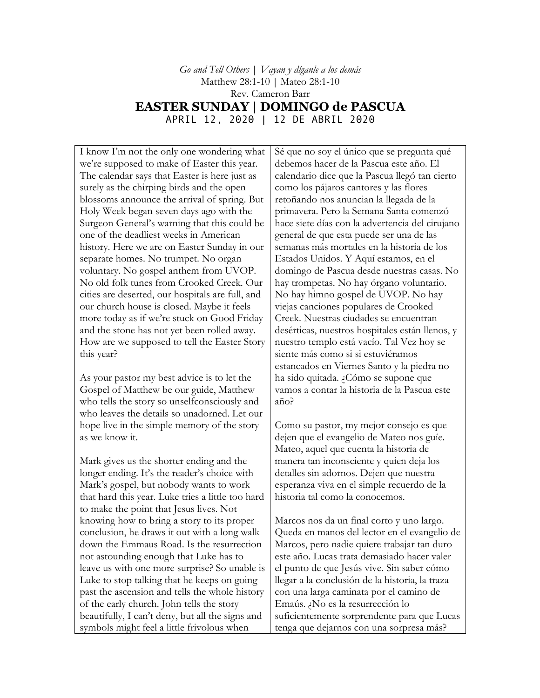*Go and Tell Others* | *Vayan y díganle a los demás* Matthew 28:1-10 | Mateo 28:1-10 Rev. Cameron Barr **EASTER SUNDAY | DOMINGO de PASCUA** APRIL 12, 2020 | 12 DE ABRIL 2020

I know I'm not the only one wondering what we're supposed to make of Easter this year. The calendar says that Easter is here just as surely as the chirping birds and the open blossoms announce the arrival of spring. But Holy Week began seven days ago with the Surgeon General's warning that this could be one of the deadliest weeks in American history. Here we are on Easter Sunday in our separate homes. No trumpet. No organ voluntary. No gospel anthem from UVOP. No old folk tunes from Crooked Creek. Our cities are deserted, our hospitals are full, and our church house is closed. Maybe it feels more today as if we're stuck on Good Friday and the stone has not yet been rolled away. How are we supposed to tell the Easter Story this year?

As your pastor my best advice is to let the Gospel of Matthew be our guide, Matthew who tells the story so unselfconsciously and who leaves the details so unadorned. Let our hope live in the simple memory of the story as we know it.

Mark gives us the shorter ending and the longer ending. It's the reader's choice with Mark's gospel, but nobody wants to work that hard this year. Luke tries a little too hard to make the point that Jesus lives. Not knowing how to bring a story to its proper conclusion, he draws it out with a long walk down the Emmaus Road. Is the resurrection not astounding enough that Luke has to leave us with one more surprise? So unable is Luke to stop talking that he keeps on going past the ascension and tells the whole history of the early church. John tells the story beautifully, I can't deny, but all the signs and symbols might feel a little frivolous when

Sé que no soy el único que se pregunta qué debemos hacer de la Pascua este año. El calendario dice que la Pascua llegó tan cierto como los pájaros cantores y las flores retoñando nos anuncian la llegada de la primavera. Pero la Semana Santa comenzó hace siete días con la advertencia del cirujano general de que esta puede ser una de las semanas más mortales en la historia de los Estados Unidos. Y Aquí estamos, en el domingo de Pascua desde nuestras casas. No hay trompetas. No hay órgano voluntario. No hay himno gospel de UVOP. No hay viejas canciones populares de Crooked Creek. Nuestras ciudades se encuentran desérticas, nuestros hospitales están llenos, y nuestro templo está vacío. Tal Vez hoy se siente más como si si estuviéramos estancados en Viernes Santo y la piedra no ha sido quitada. ¿Cómo se supone que vamos a contar la historia de la Pascua este año?

Como su pastor, my mejor consejo es que dejen que el evangelio de Mateo nos guíe. Mateo, aquel que cuenta la historia de manera tan inconsciente y quien deja los detalles sin adornos. Dejen que nuestra esperanza viva en el simple recuerdo de la historia tal como la conocemos.

Marcos nos da un final corto y uno largo. Queda en manos del lector en el evangelio de Marcos, pero nadie quiere trabajar tan duro este año. Lucas trata demasiado hacer valer el punto de que Jesús vive. Sin saber cómo llegar a la conclusión de la historia, la traza con una larga caminata por el camino de Emaús. ¿No es la resurrección lo suficientemente sorprendente para que Lucas tenga que dejarnos con una sorpresa más?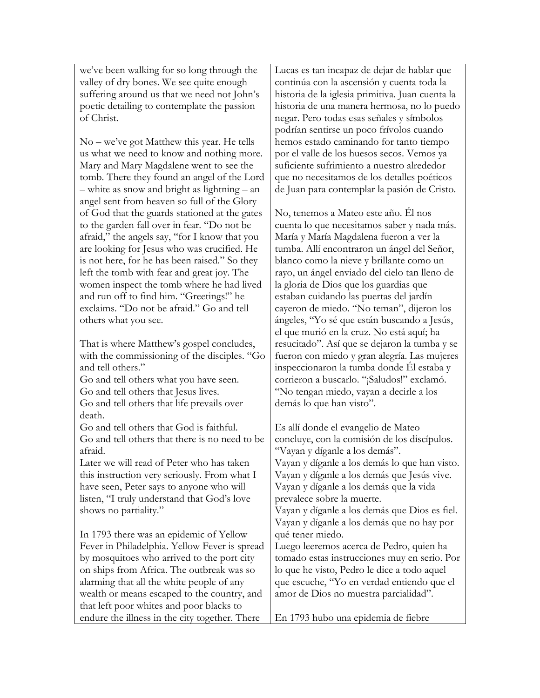we've been walking for so long through the valley of dry bones. We see quite enough suffering around us that we need not John's poetic detailing to contemplate the passion of Christ.

No – we've got Matthew this year. He tells us what we need to know and nothing more. Mary and Mary Magdalene went to see the tomb. There they found an angel of the Lord – white as snow and bright as lightning – an angel sent from heaven so full of the Glory of God that the guards stationed at the gates to the garden fall over in fear. "Do not be afraid," the angels say, "for I know that you are looking for Jesus who was crucified. He is not here, for he has been raised." So they left the tomb with fear and great joy. The women inspect the tomb where he had lived and run off to find him. "Greetings!" he exclaims. "Do not be afraid." Go and tell others what you see.

That is where Matthew's gospel concludes, with the commissioning of the disciples. "Go and tell others." Go and tell others what you have seen.

Go and tell others that Jesus lives. Go and tell others that life prevails over death.

Go and tell others that God is faithful. Go and tell others that there is no need to be afraid.

Later we will read of Peter who has taken this instruction very seriously. From what I have seen, Peter says to anyone who will listen, "I truly understand that God's love shows no partiality."

In 1793 there was an epidemic of Yellow Fever in Philadelphia. Yellow Fever is spread by mosquitoes who arrived to the port city on ships from Africa. The outbreak was so alarming that all the white people of any wealth or means escaped to the country, and that left poor whites and poor blacks to endure the illness in the city together. There

Lucas es tan incapaz de dejar de hablar que continúa con la ascensión y cuenta toda la historia de la iglesia primitiva. Juan cuenta la historia de una manera hermosa, no lo puedo negar. Pero todas esas señales y símbolos podrían sentirse un poco frívolos cuando hemos estado caminando for tanto tiempo por el valle de los huesos secos. Vemos ya suficiente sufrimiento a nuestro alrededor que no necesitamos de los detalles poéticos de Juan para contemplar la pasión de Cristo.

No, tenemos a Mateo este año. Él nos cuenta lo que necesitamos saber y nada más. María y María Magdalena fueron a ver la tumba. Allí encontraron un ángel del Señor, blanco como la nieve y brillante como un rayo, un ángel enviado del cielo tan lleno de la gloria de Dios que los guardias que estaban cuidando las puertas del jardín cayeron de miedo. "No teman", dijeron los ángeles, "Yo sé que están buscando a Jesús, el que murió en la cruz. No está aquí; ha resucitado". Así que se dejaron la tumba y se fueron con miedo y gran alegría. Las mujeres inspeccionaron la tumba donde Él estaba y corrieron a buscarlo. "¡Saludos!" exclamó. "No tengan miedo, vayan a decirle a los demás lo que han visto".

Es allí donde el evangelio de Mateo concluye, con la comisión de los discípulos. "Vayan y díganle a los demás". Vayan y díganle a los demás lo que han visto. Vayan y díganle a los demás que Jesús vive. Vayan y díganle a los demás que la vida prevalece sobre la muerte. Vayan y díganle a los demás que Dios es fiel. Vayan y díganle a los demás que no hay por qué tener miedo. Luego leeremos acerca de Pedro, quien ha tomado estas instrucciones muy en serio. Por lo que he visto, Pedro le dice a todo aquel que escuche, "Yo en verdad entiendo que el amor de Dios no muestra parcialidad".

En 1793 hubo una epidemia de fiebre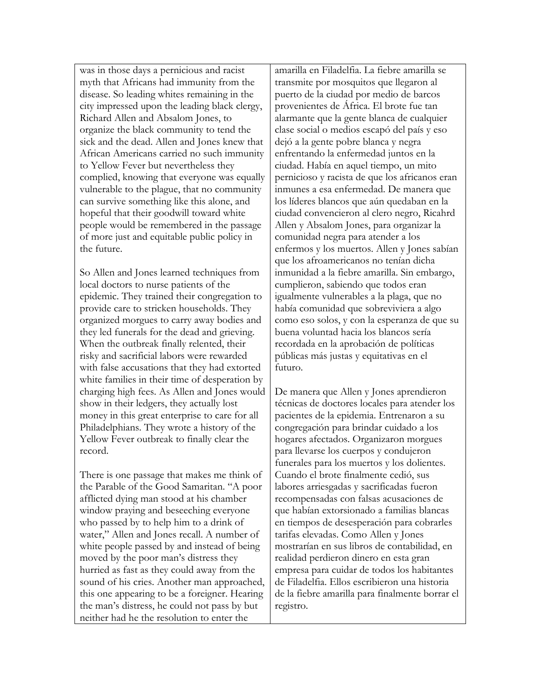was in those days a pernicious and racist myth that Africans had immunity from the disease. So leading whites remaining in the city impressed upon the leading black clergy, Richard Allen and Absalom Jones, to organize the black community to tend the sick and the dead. Allen and Jones knew that African Americans carried no such immunity to Yellow Fever but nevertheless they complied, knowing that everyone was equally vulnerable to the plague, that no community can survive something like this alone, and hopeful that their goodwill toward white people would be remembered in the passage of more just and equitable public policy in the future.

So Allen and Jones learned techniques from local doctors to nurse patients of the epidemic. They trained their congregation to provide care to stricken households. They organized morgues to carry away bodies and they led funerals for the dead and grieving. When the outbreak finally relented, their risky and sacrificial labors were rewarded with false accusations that they had extorted white families in their time of desperation by charging high fees. As Allen and Jones would show in their ledgers, they actually lost money in this great enterprise to care for all Philadelphians. They wrote a history of the Yellow Fever outbreak to finally clear the record.

There is one passage that makes me think of the Parable of the Good Samaritan. "A poor afflicted dying man stood at his chamber window praying and beseeching everyone who passed by to help him to a drink of water," Allen and Jones recall. A number of white people passed by and instead of being moved by the poor man's distress they hurried as fast as they could away from the sound of his cries. Another man approached, this one appearing to be a foreigner. Hearing the man's distress, he could not pass by but neither had he the resolution to enter the

amarilla en Filadelfia. La fiebre amarilla se transmite por mosquitos que llegaron al puerto de la ciudad por medio de barcos provenientes de África. El brote fue tan alarmante que la gente blanca de cualquier clase social o medios escapó del país y eso dejó a la gente pobre blanca y negra enfrentando la enfermedad juntos en la ciudad. Había en aquel tiempo, un mito pernicioso y racista de que los africanos eran inmunes a esa enfermedad. De manera que los líderes blancos que aún quedaban en la ciudad convencieron al clero negro, Ricahrd Allen y Absalom Jones, para organizar la comunidad negra para atender a los enfermos y los muertos. Allen y Jones sabían que los afroamericanos no tenían dicha inmunidad a la fiebre amarilla. Sin embargo, cumplieron, sabiendo que todos eran igualmente vulnerables a la plaga, que no había comunidad que sobreviviera a algo como eso solos, y con la esperanza de que su buena voluntad hacia los blancos sería recordada en la aprobación de políticas públicas más justas y equitativas en el futuro.

De manera que Allen y Jones aprendieron técnicas de doctores locales para atender los pacientes de la epidemia. Entrenaron a su congregación para brindar cuidado a los hogares afectados. Organizaron morgues para llevarse los cuerpos y condujeron funerales para los muertos y los dolientes. Cuando el brote finalmente cedió, sus labores arriesgadas y sacrificadas fueron recompensadas con falsas acusaciones de que habían extorsionado a familias blancas en tiempos de desesperación para cobrarles tarifas elevadas. Como Allen y Jones mostrarían en sus libros de contabilidad, en realidad perdieron dinero en esta gran empresa para cuidar de todos los habitantes de Filadelfia. Ellos escribieron una historia de la fiebre amarilla para finalmente borrar el registro.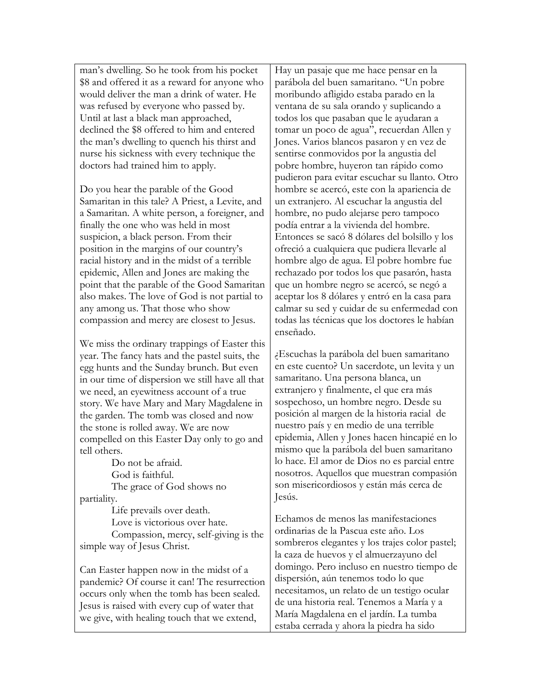man's dwelling. So he took from his pocket \$8 and offered it as a reward for anyone who would deliver the man a drink of water. He was refused by everyone who passed by. Until at last a black man approached, declined the \$8 offered to him and entered the man's dwelling to quench his thirst and nurse his sickness with every technique the doctors had trained him to apply.

Do you hear the parable of the Good Samaritan in this tale? A Priest, a Levite, and a Samaritan. A white person, a foreigner, and finally the one who was held in most suspicion, a black person. From their position in the margins of our country's racial history and in the midst of a terrible epidemic, Allen and Jones are making the point that the parable of the Good Samaritan also makes. The love of God is not partial to any among us. That those who show compassion and mercy are closest to Jesus.

We miss the ordinary trappings of Easter this year. The fancy hats and the pastel suits, the egg hunts and the Sunday brunch. But even in our time of dispersion we still have all that we need, an eyewitness account of a true story. We have Mary and Mary Magdalene in the garden. The tomb was closed and now the stone is rolled away. We are now compelled on this Easter Day only to go and tell others.

Do not be afraid. God is faithful. The grace of God shows no partiality.

Life prevails over death. Love is victorious over hate. Compassion, mercy, self-giving is the simple way of Jesus Christ.

Can Easter happen now in the midst of a pandemic? Of course it can! The resurrection occurs only when the tomb has been sealed. Jesus is raised with every cup of water that we give, with healing touch that we extend,

Hay un pasaje que me hace pensar en la parábola del buen samaritano. "Un pobre moribundo afligido estaba parado en la ventana de su sala orando y suplicando a todos los que pasaban que le ayudaran a tomar un poco de agua", recuerdan Allen y Jones. Varios blancos pasaron y en vez de sentirse conmovidos por la angustia del pobre hombre, huyeron tan rápido como pudieron para evitar escuchar su llanto. Otro hombre se acercó, este con la apariencia de un extranjero. Al escuchar la angustia del hombre, no pudo alejarse pero tampoco podía entrar a la vivienda del hombre. Entonces se sacó 8 dólares del bolsillo y los ofreció a cualquiera que pudiera llevarle al hombre algo de agua. El pobre hombre fue rechazado por todos los que pasarón, hasta que un hombre negro se acercó, se negó a aceptar los 8 dólares y entró en la casa para calmar su sed y cuidar de su enfermedad con todas las técnicas que los doctores le habían enseñado.

¿Escuchas la parábola del buen samaritano en este cuento? Un sacerdote, un levita y un samaritano. Una persona blanca, un extranjero y finalmente, el que era más sospechoso, un hombre negro. Desde su posición al margen de la historia racial de nuestro país y en medio de una terrible epidemia, Allen y Jones hacen hincapié en lo mismo que la parábola del buen samaritano lo hace. El amor de Dios no es parcial entre nosotros. Aquellos que muestran compasión son misericordiosos y están más cerca de Jesús.

Echamos de menos las manifestaciones ordinarias de la Pascua este año. Los sombreros elegantes y los trajes color pastel; la caza de huevos y el almuerzayuno del domingo. Pero incluso en nuestro tiempo de dispersión, aún tenemos todo lo que necesitamos, un relato de un testigo ocular de una historia real. Tenemos a María y a María Magdalena en el jardín. La tumba estaba cerrada y ahora la piedra ha sido